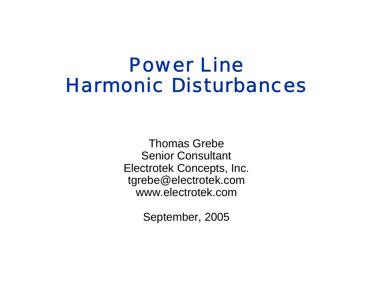# Power LineHarmonic Disturbances

Thomas Grebe Senior Consultant Electrotek Concepts, Inc. tgrebe@electrotek.com www.electrotek.com

September, 2005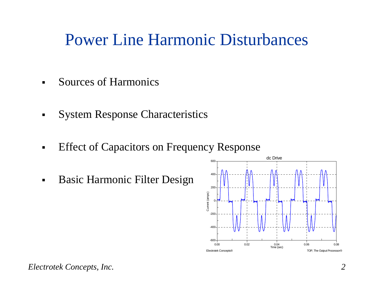### Power Line Harmonic Disturbances

- $\blacksquare$ Sources of Harmonics
- System Response Characteristics
- $\blacksquare$ Effect of Capacitors on Frequency Response
- $\blacksquare$ Basic Harmonic Filter Design

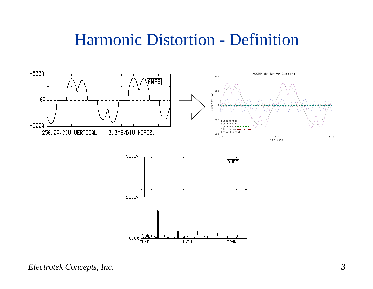#### Harmonic Distortion - Definition



16TH

32ND

 $0.0%$ 

**FUND**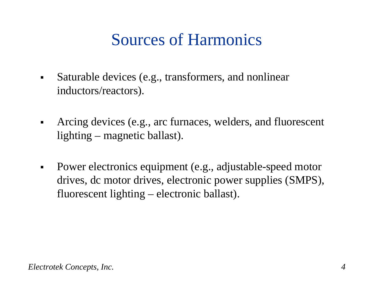## Sources of Harmonics

- $\blacksquare$  Saturable devices (e.g., transformers, and nonlinear inductors/reactors).
- $\blacksquare$  Arcing devices (e.g., arc furnaces, welders, and fluorescent lighting – magnetic ballast).
- $\blacksquare$  Power electronics equipment (e.g., adjustable-speed motor drives, dc motor drives, electronic power supplies (SMPS), fluorescent lighting – electronic ballast).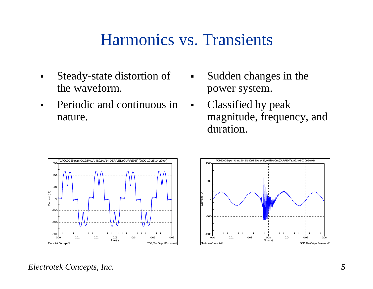#### Harmonics vs. Transients

- $\blacksquare$  Steady-state distortion of the waveform.
- $\blacksquare$  Periodic and continuous in nature.
- $\blacksquare$  Sudden changes in the power system.
- $\mathbf{m} \in \mathbb{R}^n$  Classified by peak magnitude, frequency, and duration.



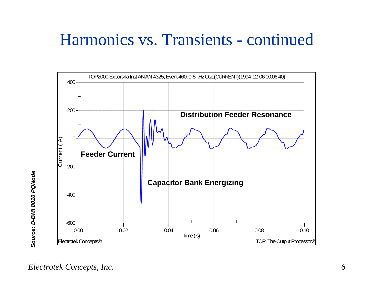### Harmonics vs. Transients - continued

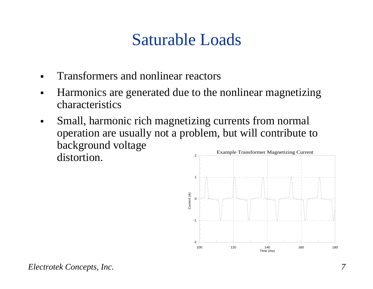## Saturable Loads

- $\blacksquare$ Transformers and nonlinear reactors
- $\blacksquare$  Harmonics are generated due to the nonlinear magnetizing characteristics
- $\blacksquare$  Small, harmonic rich magnetizing currents from normal operation are usually not a problem, but will contribute to background voltage distortion.2 Example Transformer Magnetizing Current

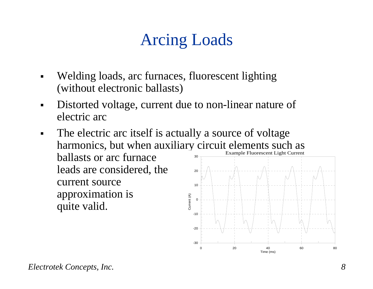# Arcing Loads

- $\blacksquare$  Welding loads, arc furnaces, fluorescent lighting (without electronic ballasts)
- $\blacksquare$  Distorted voltage, current due to non-linear nature of electric arc
- The electric arc itself is actually a source of voltage  $\blacksquare$ harmonics, but when auxiliary circuit elements such as Example Fluorescent Light Current ballasts or arc furnace 30leads are considered, the 20 current source 10approximation is Current (A) Current (A)  $\Omega$ quite valid.

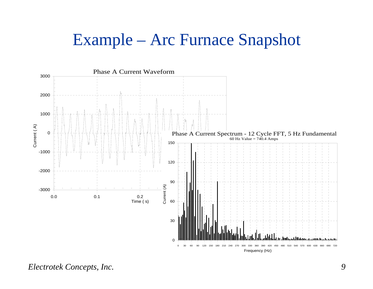#### Example – Arc Furnace Snapshot

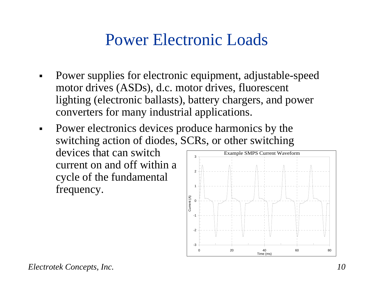## Power Electronic Loads

- $\blacksquare$  Power supplies for electronic equipment, adjustable-speed motor drives (ASDs), d.c. motor drives, fluorescent lighting (electronic ballasts), battery chargers, and power converters for many industrial applications.
- $\blacksquare$  Power electronics devices produce harmonics by the switching action of diodes, SCRs, or other switching devices that can switch current on and off within a cycle of the fundamental frequency. 123

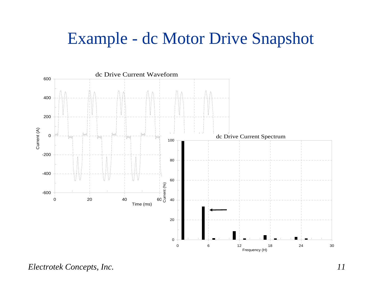### Example - dc Motor Drive Snapshot



*Electrotek Concepts, Inc. 11*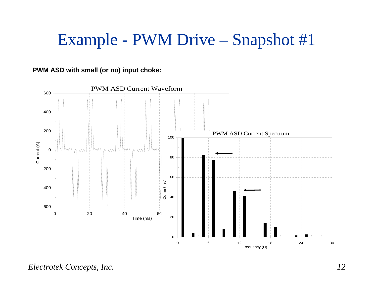## Example - PWM Drive – Snapshot #1

#### **PWM ASD with small (or no) input choke:**

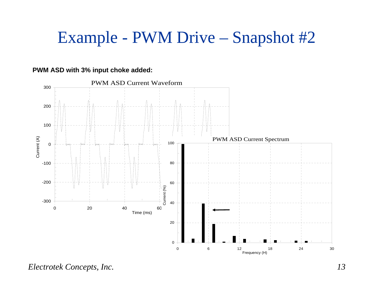## Example - PWM Drive – Snapshot #2

#### PWM ASD Current Waveform 300200 100Current (A) PWM ASD Current Spectrum Current (A) 0100 -10080-200 60 Lurrent (%) Current (%) -30040 0 20 40 60 80 100 Time (ms) 20 0 06 12 18 24 30

Frequency (H)

#### **PWM ASD with 3% input choke added:**

*Electrotek Concepts, Inc. 13*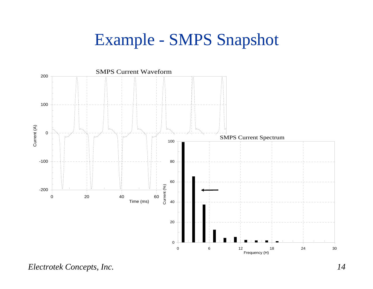## Example - SMPS Snapshot



*Electrotek Concepts, Inc. 14*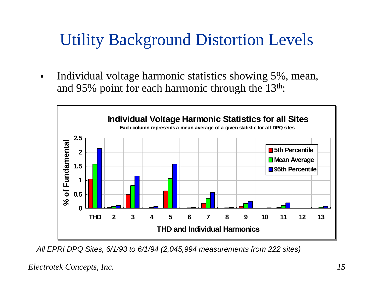## Utility Background Distortion Levels

 $\blacksquare$  Individual voltage harmonic statistics showing 5%, mean, and 95% point for each harmonic through the  $13<sup>th</sup>$ :



*All EPRI DPQ Sites, 6/1/93 to 6/1/94 (2,045,994 measurements from 222 sites)*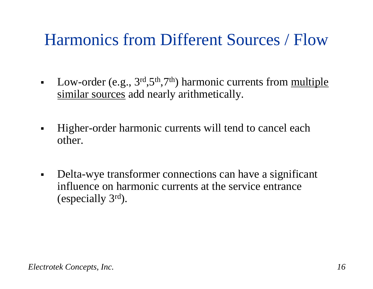## Harmonics from Different Sources / Flow

- $\blacksquare$ Low-order (e.g.,  $3^{\text{rd}}$ , $5^{\text{th}}$ , $7^{\text{th}}$ ) harmonic currents from multiple similar sources add nearly arithmetically.
- $\blacksquare$  Higher-order harmonic currents will tend to cancel each other.
- $\blacksquare$  Delta-wye transformer connections can have a significant influence on harmonic currents at the service entrance (especially 3rd).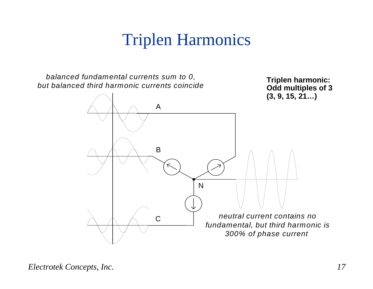## Triplen Harmonics

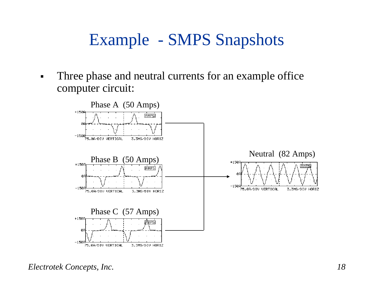## Example - SMPS Snapshots

 $\blacksquare$  Three phase and neutral currents for an example office computer circuit:

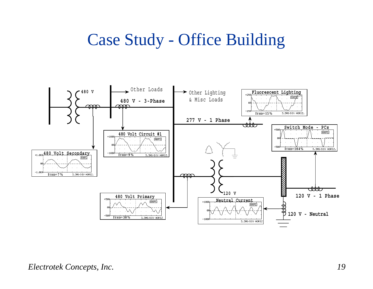## Case Study - Office Building

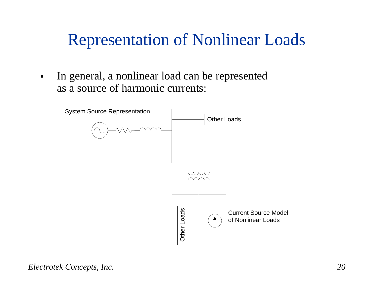## Representation of Nonlinear Loads

 $\blacksquare$  In general, a nonlinear load can be represented as a source of harmonic currents:

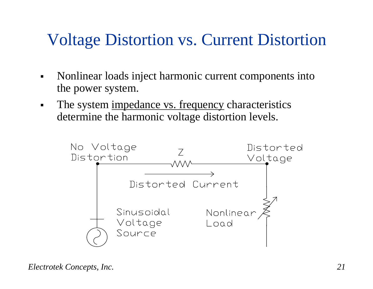## Voltage Distortion vs. Current Distortion

- $\blacksquare$  Nonlinear loads inject harmonic current components into the power system.
- $\blacksquare$ The system impedance vs. frequency characteristics determine the harmonic voltage distortion levels.

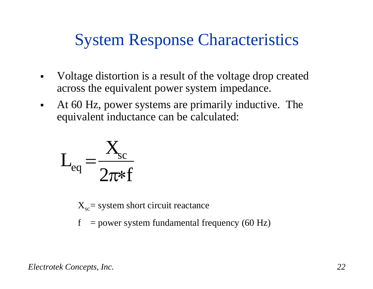## System Response Characteristics

- $\blacksquare$  Voltage distortion is a result of the voltage drop created across the equivalent power system impedance.
- $\blacksquare$  At 60 Hz, power systems are primarily inductive. The equivalent inductance can be calculated:

$$
L_{eq} = \frac{X_{sc}}{2\pi * f}
$$

 $X_{\rm sc}$  = system short circuit reactance

 $f = power$  system fundamental frequency (60 Hz)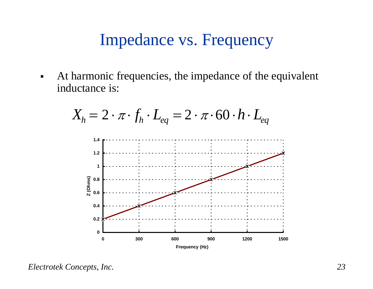#### Impedance vs. Frequency

 $\blacksquare$  At harmonic frequencies, the impedance of the equivalent inductance is:



*Electrotek Concepts, Inc. 23*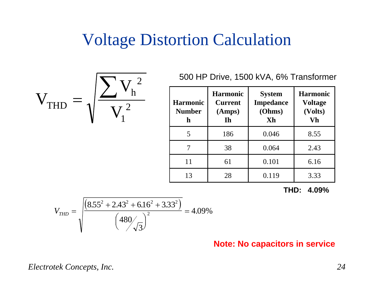#### Voltage Distortion Calculation

 $V_{\text{THD}} = \sqrt{\frac{2}{\pi}}$ V V $\sum\limits {\mathop{\rm V}\nolimits_{\rm h}}^2$ =1 2

500 HP Drive, 1500 kVA, 6% Transformer

| <b>Harmonic</b><br><b>Number</b><br>h | <b>Harmonic</b><br><b>Current</b><br>(Amps)<br><b>Th</b> | <b>System</b><br><b>Impedance</b><br>(Ohms)<br>Xh | <b>Harmonic</b><br><b>Voltage</b><br>(Volts)<br>Vh |
|---------------------------------------|----------------------------------------------------------|---------------------------------------------------|----------------------------------------------------|
| 5                                     | 186                                                      | 0.046                                             | 8.55                                               |
|                                       | 38                                                       | 0.064                                             | 2.43                                               |
| 11                                    | 61                                                       | 0.101                                             | 6.16                                               |
| 13                                    | 28                                                       | 0.119                                             | 3.33                                               |

**THD: 4.09%**

$$
V_{THD} = \sqrt{\frac{\left(8.55^{2} + 2.43^{2} + 6.16^{2} + 3.33^{2}\right)}{\left(480/\sqrt{3}\right)^{2}}} = 4.09\%
$$

**Note: No capacitors in service**

*Electrotek Concepts, Inc. 24*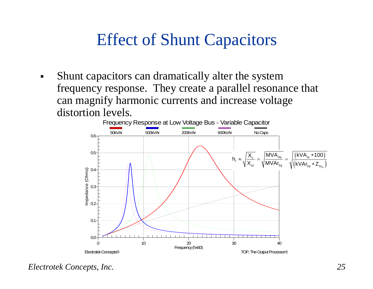## Effect of Shunt Capacitors

 $\blacksquare$  Shunt capacitors can dramatically alter the system frequency response. They create a parallel resonance that can magnify harmonic currents and increase voltage distortion levels.



*Electrotek Concepts, Inc. 25*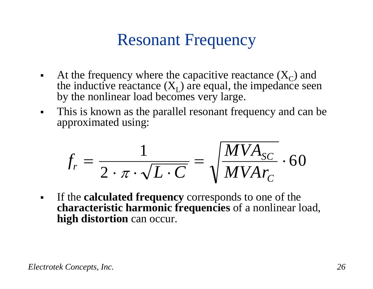## Resonant Frequency

- $\blacksquare$ At the frequency where the capacitive reactance  $(X_C)$  and the inductive reactance  $(X_L)$  are equal, the impedance seen by the nonlinear load becomes very large.
- $\blacksquare$  This is known as the parallel resonant frequency and can be approximated using:

$$
f_r = \frac{1}{2 \cdot \pi \cdot \sqrt{L \cdot C}} = \sqrt{\frac{MVA_{SC}}{MVAr_C}} \cdot 60
$$

 $\blacksquare$  If the **calculated frequency** corresponds to one of the **characteristic harmonic frequencies** of a nonlinear load, **high distortion** can occur.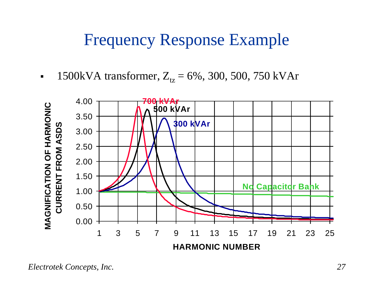#### Frequency Response Example

 $\blacksquare$ **1500kVA transformer,**  $Z_{tz} = 6\%$ **, 300, 500, 750 kVAr** 

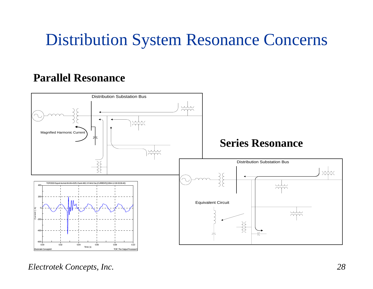## Distribution System Resonance Concerns

#### **Parallel Resonance**



*Electrotek Concepts, Inc. 28*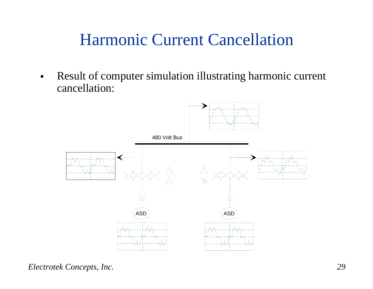## Harmonic Current Cancellation

 $\blacksquare$  Result of computer simulation illustrating harmonic current cancellation:

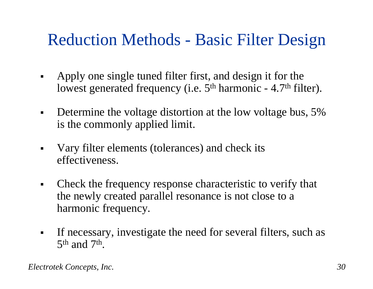## Reduction Methods - Basic Filter Design

- $\blacksquare$  Apply one single tuned filter first, and design it for the lowest generated frequency (i.e. 5<sup>th</sup> harmonic - 4.7<sup>th</sup> filter).
- $\blacksquare$  Determine the voltage distortion at the low voltage bus, 5% is the commonly applied limit.
- $\blacksquare$  Vary filter elements (tolerances) and check its effectiveness.
- $\blacksquare$  Check the frequency response characteristic to verify that the newly created parallel resonance is not close to a harmonic frequency.
- $\blacksquare$  If necessary, investigate the need for several filters, such as 5t<sup>h</sup> and 7th.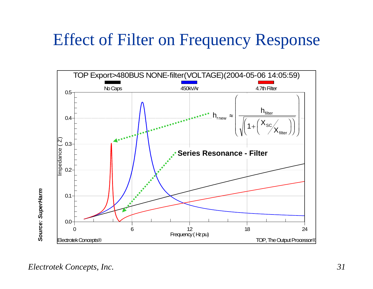### Effect of Filter on Frequency Response

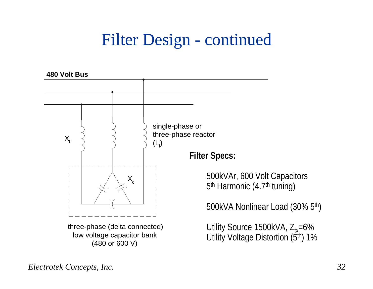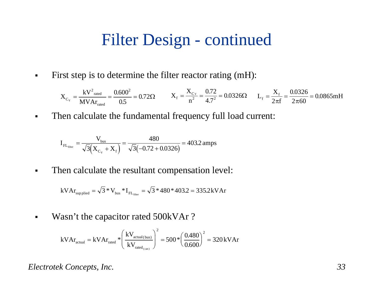$\blacksquare$ First step is to determine the filter reactor rating (mH):

$$
X_{C_Y} = \frac{kV^2_{\text{rated}}}{MVAr_{\text{rated}}}= \frac{0.600^2}{0.5} = 0.72\Omega
$$
 
$$
X_f = \frac{X_{C_Y}}{n^2} = \frac{0.72}{4.7^2} = 0.0326\Omega
$$
 
$$
L_f = \frac{X_f}{2\pi f} = \frac{0.0326}{2\pi 60} = 0.0865 \text{mH}
$$

 $\blacksquare$ Then calculate the fundamental frequency full load current:

$$
I_{FL_{filter}} = \frac{V_{bus}}{\sqrt{3}(X_{C_Y} + X_f)} = \frac{480}{\sqrt{3}(-0.72 + 0.0326)} = 403.2 \text{ amps}
$$

 $\blacksquare$ Then calculate the resultant compensation level:

 $\mathrm{kVAr}_{\text{supplied}} = \sqrt{3}$  \*  $\mathrm{V}_{\text{bus}}$  \*  $\mathrm{I}_{\mathrm{FL}_{\mathrm{filter}}} = \sqrt{3}$  \*  $480$  \*  $403.2$   $= 335.2 \mathrm{kVAr}$ 

 $\blacksquare$ Wasn't the capacitor rated 500kVAr?

$$
kVAr_{\text{actual}} = kVAr_{\text{rated}} * \left(\frac{kV_{\text{actual(bus)}}}{kV_{\text{rated}_{(\text{can})}}}\right)^2 = 500 * \left(\frac{0.480}{0.600}\right)^2 = 320 \, kVAr
$$

*Electrotek Concepts, Inc. 33*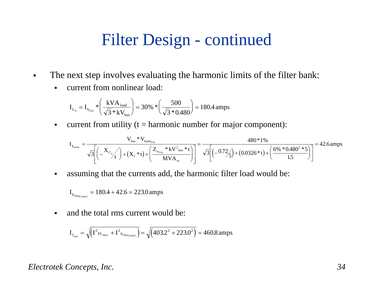- $\blacksquare$  The next step involves evaluating the harmonic limits of the filter bank:
	- $\blacksquare$ current from nonlinear load:

$$
I_{L_h} = I_{h_{\text{(96)}}} * \left(\frac{kVA_{\text{load}}}{\sqrt{3} * kV_{\text{bus}}}\right) = 30\% * \left(\frac{500}{\sqrt{3} * 0.480}\right) = 180.4 \text{ amps}
$$

 $\blacksquare$ current from utility  $(t = harmonic number for major component)$ :

$$
I_{_{h_{utility}}} = \frac{V_{_{bus}}*V_{_{harm_{(w)}}}}{\sqrt{3}\Bigg[\Big( -\frac{X_{_{C_\gamma}}}{t}\Big)+\Big(X_{_{f}}*t\Big)+\Big(\frac{Z_{_{tx_{(w)}}}*kV_{_{bus}}^2*t}{MVA_{_{tx}}}\Big)\Bigg]} = \frac{480*1\%}{\sqrt{3}\Bigg[\Big(-0.72\Bigg)+\Big(0.0326*t\Big)+\Big(\frac{6\%*0.480^2*5}{1.5}\Big)\Bigg]} = 42.6\, {\rm amps}
$$

 $\blacksquare$ assuming that the currents add, the harmonic filter load would be:

$$
I_{h_{\text{filter}(total)}} = 180.4 + 42.6 = 223.0 \, \text{amps}
$$

 $\blacksquare$ and the total rms current would be:

$$
I_{f_{rms}} = \sqrt{\left(I^2_{\text{ FL}} + I^2_{\text{ h}_{filter (total)}}\right)} = \sqrt{\left(403.2^2 + 223.0^2\right)} = 460.8 \text{ amps}
$$

#### *Electrotek Concepts, Inc. 34*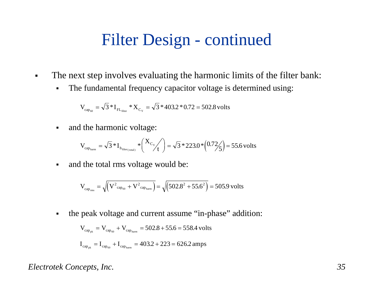- $\blacksquare$  The next step involves evaluating the harmonic limits of the filter bank:
	- $\blacksquare$ The fundamental frequency capacitor voltage is determined using:

$$
V_{\rm cap_{60}} = \sqrt{3} * I_{\rm FL_{filter}} * X_{\rm C_{\rm Y}} = \sqrt{3} * 403.2 * 0.72 = 502.8 \, {\rm volts}
$$

 $\blacksquare$ and the harmonic voltage:

$$
V_{\text{cap}_{\text{ham}}} = \sqrt{3} * I_{h_{\text{filter}(\text{total})}} * \binom{X_{C_{Y}}}{t} = \sqrt{3} * 223.0 * \binom{0.72}{5} = 55.6 \text{ volts}
$$

 $\blacksquare$ and the total rms voltage would be:

$$
V_{\text{cap}_{\text{rms}}} = \sqrt{V^2_{\text{cap}_{60}} + V^2_{\text{cap}_{\text{harm}}}} = \sqrt{(502.8^2 + 55.6^2)} = 505.9 \text{ volts}
$$

 $\blacksquare$ the peak voltage and current assume "in-phase" addition:

$$
V_{\text{cap}_{pk}} = V_{\text{cap}_{60}} + V_{\text{cap}_{harm}} = 502.8 + 55.6 = 558.4 \text{ volts}
$$

$$
I_{\text{cap}_{\text{pk}}} = I_{\text{cap}_{60}} + I_{\text{cap}_{\text{ham}}} = 403.2 + 223 = 626.2 \text{amps}
$$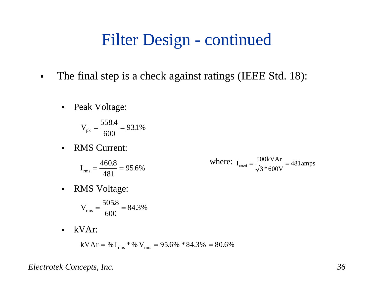- $\blacksquare$ The final step is a check against ratings (IEEE Std. 18):
	- $\blacksquare$ Peak Voltage:

$$
V_{pk} = \frac{558.4}{600} = 93.1\%
$$

 $\blacksquare$ RMS Current:

$$
I_{\rm rms} = \frac{460.8}{481} = 95.6\%
$$

where: 
$$
I_{\text{rated}} = \frac{500 \text{kVAr}}{\sqrt{3} * 600 \text{V}} = 481 \text{amps}
$$

 $\blacksquare$ RMS Voltage:

$$
V_{\rm rms} = \frac{505.8}{600} = 84.3\%
$$

 $\blacksquare$ kVAr:

$$
kVAr = \% I_{rms} * % V_{rms} = 95.6% * 84.3% = 80.6%
$$

*Electrotek Concepts, Inc. 36*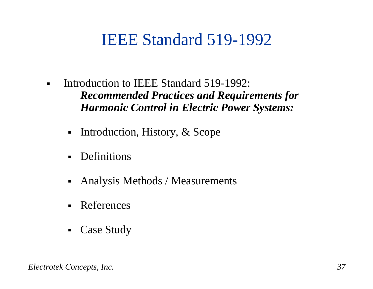### IEEE Standard 519-1992

- $\blacksquare$  Introduction to IEEE Standard 519-1992: *Recommended Practices and Requirements for Harmonic Control in Electric Power Systems:*
	- $\blacksquare$ Introduction, History, & Scope
	- $\blacksquare$ Definitions
	- $\blacksquare$ Analysis Methods / Measurements
	- $\blacksquare$ References
	- $\blacksquare$ Case Study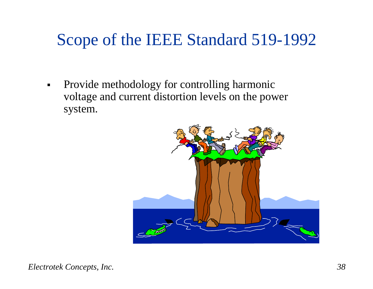## Scope of the IEEE Standard 519-1992

 $\blacksquare$  Provide methodology for controlling harmonic voltage and current distortion levels on the power system.

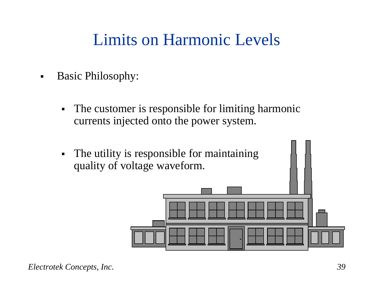## Limits on Harmonic Levels

- $\blacksquare$  Basic Philosophy:
	- $\blacksquare$  The customer is responsible for limiting harmonic currents injected onto the power system.
	- $\blacksquare$  The utility is responsible for maintaining quality of voltage waveform.

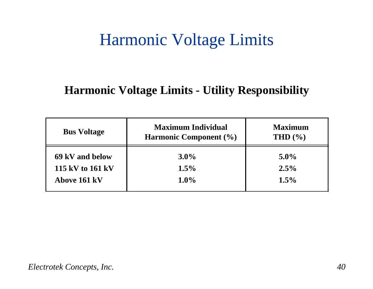### Harmonic Voltage Limits

#### **Harmonic Voltage Limits - Utility Responsibility**

| <b>Bus Voltage</b> | <b>Maximum Individual</b><br><b>Harmonic Component</b> (%) | <b>Maximum</b><br>THD $(\% )$ |  |
|--------------------|------------------------------------------------------------|-------------------------------|--|
| 69 kV and below    | $3.0\%$                                                    | $5.0\%$                       |  |
| 115 kV to 161 kV   | $1.5\%$                                                    | $2.5\%$                       |  |
| Above 161 kV       | $1.0\%$                                                    | 1.5%                          |  |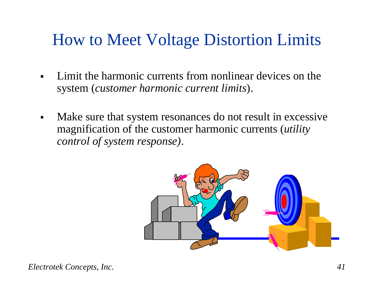## How to Meet Voltage Distortion Limits

- $\blacksquare$  Limit the harmonic currents from nonlinear devices on the system (*customer harmonic current limits*).
- $\blacksquare$  Make sure that system resonances do not result in excessive magnification of the customer harmonic currents (*utility control of system response)*.

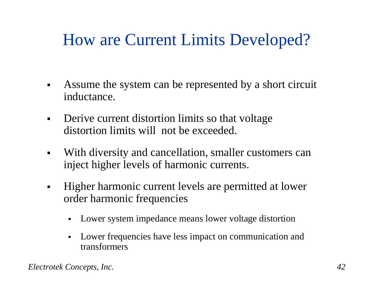## How are Current Limits Developed?

- $\blacksquare$  Assume the system can be represented by a short circuit inductance.
- $\blacksquare$  Derive current distortion limits so that voltage distortion limits will not be exceeded.
- $\blacksquare$  With diversity and cancellation, smaller customers can inject higher levels of harmonic currents.
- $\blacksquare$  Higher harmonic current levels are permitted at lower order harmonic frequencies
	- $\blacksquare$ Lower system impedance means lower voltage distortion
	- Lower frequencies have less impact on communication and transformers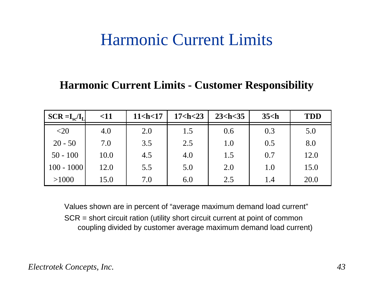#### Harmonic Current Limits

#### **Harmonic Current Limits - Customer Responsibility**

| $SCR = I_{sc}/I_{L}$ | $<$ 11 | $11$ <h <math="">&lt; 17</h> | $17$ <h <math="">&lt; 23</h> | 23 < h < 35 | $35$ $\text{ch}$ | <b>TDD</b> |
|----------------------|--------|------------------------------|------------------------------|-------------|------------------|------------|
| $<$ 20               | 4.0    | 2.0                          | 1.5                          | 0.6         | 0.3              | 5.0        |
| $20 - 50$            | 7.0    | 3.5                          | 2.5                          | 1.0         | 0.5              | 8.0        |
| $50 - 100$           | 10.0   | 4.5                          | 4.0                          | 1.5         | 0.7              | 12.0       |
| $100 - 1000$         | 12.0   | 5.5                          | 5.0                          | 2.0         | 1.0              | 15.0       |
| >1000                | 15.0   | 7.0                          | 6.0                          | 2.5         | 1.4              | 20.0       |

Values shown are in percent of "average maximum demand load current" SCR = short circuit ration (utility short circuit current at point of common coupling divided by customer average maximum demand load current)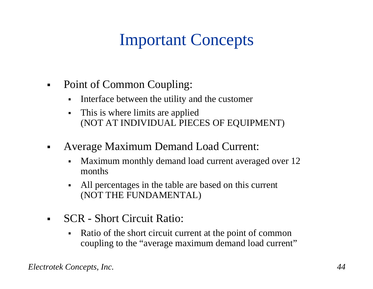# Important Concepts

- $\blacksquare$  Point of Common Coupling:
	- $\blacksquare$ Interface between the utility and the customer
	- $\blacksquare$  This is where limits are applied (NOT AT INDIVIDUAL PIECES OF EQUIPMENT)
- $\blacksquare$  Average Maximum Demand Load Current:
	- Maximum monthly demand load current averaged over 12 months
	- All percentages in the table are based on this current (NOT THE FUNDAMENTAL)
- $\blacksquare$  SCR - Short Circuit Ratio:
	- $\blacksquare$  Ratio of the short circuit current at the point of common coupling to the "average maximum demand load current"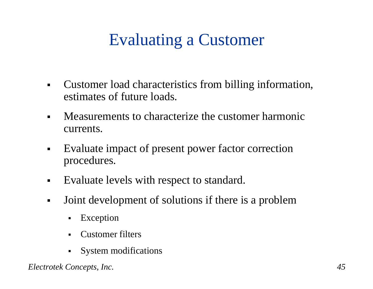## Evaluating a Customer

- $\blacksquare$  Customer load characteristics from billing information, estimates of future loads.
- $\blacksquare$  Measurements to characterize the customer harmonic currents.
- $\blacksquare$  Evaluate impact of present power factor correction procedures.
- $\blacksquare$ Evaluate levels with respect to standard.
- $\blacksquare$  Joint development of solutions if there is a problem
	- $\blacksquare$ Exception
	- $\blacksquare$ Customer filters
	- System modifications

*Electrotek Concepts, Inc. 45*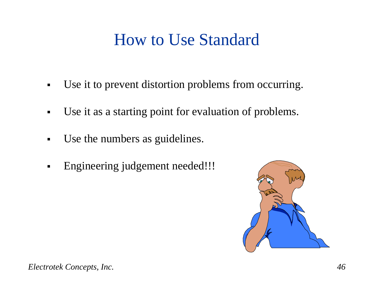## How to Use Standard

- $\blacksquare$ Use it to prevent distortion problems from occurring.
- $\blacksquare$ Use it as a starting point for evaluation of problems.
- $\blacksquare$ Use the numbers as guidelines.
- $\blacksquare$ Engineering judgement needed!!!

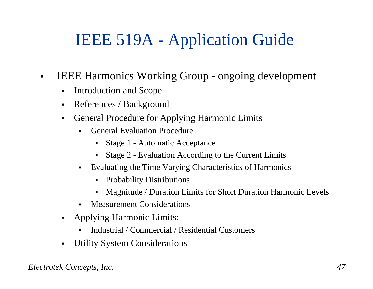## IEEE 519A - Application Guide

- $\blacksquare$  IEEE Harmonics Working Group - ongoing development
	- $\blacksquare$ Introduction and Scope
	- $\blacksquare$ References / Background
	- $\blacksquare$  General Procedure for Applying Harmonic Limits
		- $\blacksquare$  General Evaluation Procedure
			- Stage 1 Automatic Acceptance
			- Stage 2 Evaluation According to the Current Limits
		- Evaluating the Time Varying Characteristics of Harmonics
			- Probability Distributions
			- $\blacksquare$ Magnitude / Duration Limits for Short Duration Harmonic Levels
		- L Measurement Considerations
	- $\blacksquare$  Applying Harmonic Limits:
		- ▛ Industrial / Commercial / Residential Customers
	- $\blacksquare$ Utility System Considerations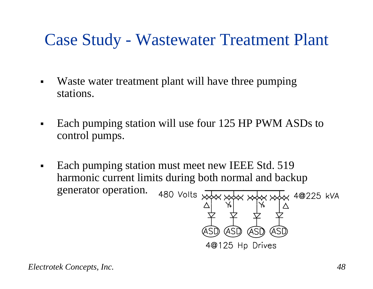## Case Study - Wastewater Treatment Plant

- $\blacksquare$  Waste water treatment plant will have three pumping stations.
- $\blacksquare$  Each pumping station will use four 125 HP PWM ASDs to control pumps.
- Each pumping station must meet new IEEE Std. 519  $\blacksquare$ harmonic current limits during both normal and backup generator operation.480 Volts  $\overline{x}$

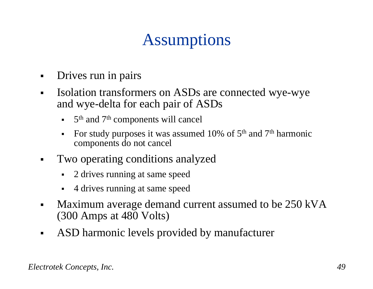# Assumptions

- Drives run in pairs
- $\blacksquare$  Isolation transformers on ASDs are connected wye-wye and wye-delta for each pair of ASDs
	- $\blacksquare$ 5<sup>th</sup> and 7<sup>th</sup> components will cancel
	- $\blacksquare$ For study purposes it was assumed 10% of  $5<sup>th</sup>$  and  $7<sup>th</sup>$  harmonic components do not cancel
- $\blacksquare$  Two operating conditions analyzed
	- $\blacksquare$ 2 drives running at same speed
	- 4 drives running at same speed
- $\blacksquare$  Maximum average demand current assumed to be 250 kVA (300 Amps at 480 Volts)
- $\blacksquare$ ASD harmonic levels provided by manufacturer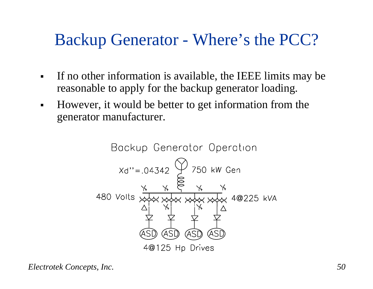### Backup Generator - Where's the PCC?

- $\blacksquare$  If no other information is available, the IEEE limits may be reasonable to apply for the backup generator loading.
- $\blacksquare$  However, it would be better to get information from the generator manufacturer.

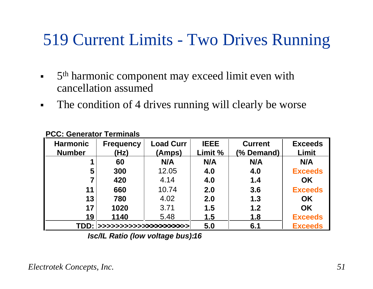## 519 Current Limits - Two Drives Running

- $\blacksquare$ 5<sup>th</sup> harmonic component may exceed limit even with cancellation assumed
- $\blacksquare$ The condition of 4 drives running will clearly be worse

| <b>Harmonic</b><br><b>Number</b> | <b>Frequency</b><br>(Hz) | <b>Load Curr</b><br>(Amps) | <b>IEEE</b><br>Limit % | <b>Current</b><br>(% Demand) | <b>Exceeds</b><br>Limit |
|----------------------------------|--------------------------|----------------------------|------------------------|------------------------------|-------------------------|
|                                  | 60                       | N/A                        | N/A                    | N/A                          | N/A                     |
| 5                                | 300                      | 12.05                      | 4.0                    | 4.0                          | <b>Exceeds</b>          |
| 7                                | 420                      | 4.14                       | 4.0                    | 1.4                          | <b>OK</b>               |
| 11                               | 660                      | 10.74                      | 2.0                    | 3.6                          | <b>Exceeds</b>          |
| 13                               | 780                      | 4.02                       | 2.0                    | 1.3                          | <b>OK</b>               |
| 17                               | 1020                     | 3.71                       | 1.5                    | 1.2                          | <b>OK</b>               |
| 19                               | 1140                     | 5.48                       | 1.5                    | 1.8                          | <b>Exceeds</b>          |
|                                  |                          |                            | 5.0                    | 6.1                          | <b>Exceeds</b>          |

#### **PCC: Generator Terminals**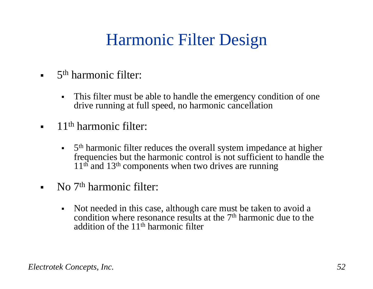# Harmonic Filter Design

- $\blacksquare$  5<sup>th</sup> harmonic filter:
	- $\blacksquare$  This filter must be able to handle the emergency condition of one drive running at full speed, no harmonic cancellation
- $\blacksquare$  11<sup>th</sup> harmonic filter:
	- $\blacksquare$ 5<sup>th</sup> harmonic filter reduces the overall system impedance at higher frequencies but the harmonic control is not sufficient to handle the  $11<sup>th</sup>$  and  $13<sup>th</sup>$  components when two drives are running
- $\blacksquare$  No 7<sup>th</sup> harmonic filter:
	- $\blacksquare$  Not needed in this case, although care must be taken to avoid a condition where resonance results at the 7<sup>th</sup> harmonic due to the addition of the  $11<sup>th</sup>$  harmonic filter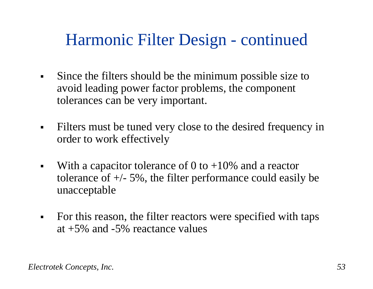## Harmonic Filter Design - continued

- $\blacksquare$  Since the filters should be the minimum possible size to avoid leading power factor problems, the component tolerances can be very important.
- $\blacksquare$  Filters must be tuned very close to the desired frequency in order to work effectively
- $\blacksquare$ With a capacitor tolerance of 0 to  $+10\%$  and a reactor tolerance of  $+/- 5\%$ , the filter performance could easily be unacceptable
- $\blacksquare$  For this reason, the filter reactors were specified with taps at +5% and -5% reactance values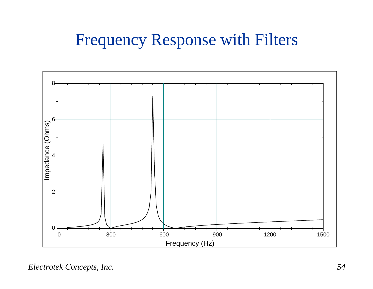## Frequency Response with Filters



*Electrotek Concepts, Inc. 54*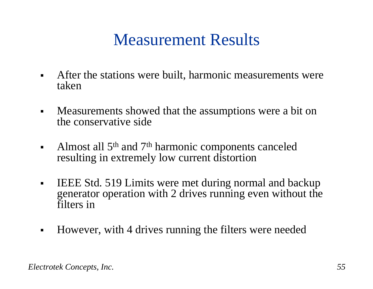## Measurement Results

- $\blacksquare$  After the stations were built, harmonic measurements were taken
- $\blacksquare$  Measurements showed that the assumptions were a bit on the conservative side
- $\blacksquare$ Almost all 5<sup>th</sup> and 7<sup>th</sup> harmonic components canceled resulting in extremely low current distortion
- $\blacksquare$  IEEE Std. 519 Limits were met during normal and backup generator operation with 2 drives running even without the filters in
- $\blacksquare$ However, with 4 drives running the filters were needed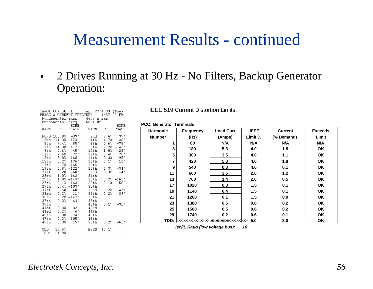#### Measurement Results - continued

 $\blacksquare$  2 Drives Running at 30 Hz - No Filters, Backup Generator Operation:

|                 |                                                           |                    | CAROL BCK SE NL        Apr 27 1993 (Tue)                              |               |                                 |
|-----------------|-----------------------------------------------------------|--------------------|-----------------------------------------------------------------------|---------------|---------------------------------|
|                 |                                                           |                    | PHASE A CURRENT SPECTRUM - 4:57:05 PM<br>Fundamental amps: 46.7 A rms |               |                                 |
|                 |                                                           |                    |                                                                       |               |                                 |
|                 |                                                           |                    | Fundamental freq: 60.1 Hz                                             |               |                                 |
|                 |                                                           | SINE               | HARM PCT PHASE HARM PCT PHASE                                         |               | SINE                            |
|                 |                                                           |                    |                                                                       |               |                                 |
|                 | FUND 100.0% -39°                                          |                    | 2nd                                                                   |               | $8.6%$ 39°                      |
| 3rd             |                                                           | $11.3\%$ 173°      | 4th                                                                   |               | $4.7\% - 140$                   |
|                 | 5th $7.4\%$ 85 <sup>*</sup><br>7th 11.3% 117 <sup>*</sup> |                    | 6th                                                                   |               | $0.6\% -75$ *                   |
|                 |                                                           |                    | 8th                                                                   |               | $2.2% -142*$                    |
| 9th -           |                                                           | $0.6\% - 45$       | 10th                                                                  |               | $1.0% -28$                      |
|                 | 11th 7.6% 72°                                             |                    | 12th                                                                  |               | $0.4%$ 76°                      |
|                 | $13th$ $3.0\%$ $168$ <sup>*</sup>                         |                    | 14th                                                                  |               | $0.3$<br>$0.3$<br>$0.1$<br>$12$ |
| $15\mathrm{th}$ | $0.2%$ 176 $^*$                                           |                    | 16th                                                                  |               | $12*$                           |
| 17th            | $0.7\% -165$ *                                            |                    | 18th                                                                  |               |                                 |
| 19th            | $0.8\%$ $-122\degree$                                     |                    | 20th                                                                  |               | $0.3% -34*$                     |
|                 | $21st$ $0.2%$ $-60*$                                      |                    | 22nd                                                                  |               | $0.3% -4*$                      |
| 23rd            |                                                           | $1.0\%$ 163°       | 24th                                                                  |               |                                 |
| 25th            |                                                           | $1.0\% - 143$      | 26th                                                                  |               | $0.2\% -161\degree$             |
| 27th            |                                                           | $0.1\% - 163$      | 28th                                                                  |               | $0.1% -156*$                    |
| 29th            |                                                           | $0.4% -103*$       | 30th                                                                  |               |                                 |
| 31st            |                                                           | $0.5% -40^*$       | 32nd                                                                  |               | $0.2% -47*$                     |
| 33rd            |                                                           | $0.2% 11*$         | 34th                                                                  |               | $0.2%$ 89°                      |
| 35th            |                                                           | $0.2\% -147$       | 36th                                                                  |               |                                 |
| 37th<br>39th    |                                                           | $0.3% -64*$        | 38th                                                                  |               | $0.1% -31"$                     |
| 41st            |                                                           | $0.3\% -32\degree$ | 40th<br>42nd                                                          |               |                                 |
| 43rd            |                                                           |                    | 44th                                                                  |               |                                 |
| 45th            | $0.2%$ 6 <sup>*</sup><br>$0.3%$ 74*                       |                    | 46th                                                                  |               |                                 |
| 47th            |                                                           | $0.2\% -105$ $^*$  | 48th                                                                  |               |                                 |
| 49th            | 0.3%                                                      | $15*$              | 50th                                                                  | $0.2\% -62^*$ |                                 |
|                 |                                                           |                    |                                                                       |               |                                 |
|                 | ODD 19.5%                                                 |                    | EVEN 10.1%                                                            |               |                                 |
| THD:            | 21.9%                                                     |                    |                                                                       |               |                                 |

IEEE 519 Current Distortion Limits:

#### **PCC: Generator Terminals**

| <b>Harmonic</b> | <b>Frequency</b>                                                                       | <b>Load Curr</b> | <b>IEEE</b> | <b>Current</b> | <b>Exceeds</b> |
|-----------------|----------------------------------------------------------------------------------------|------------------|-------------|----------------|----------------|
| <b>Number</b>   | (Hz)                                                                                   | (Amps)           | Limit %     | (% Demand)     | Limit          |
|                 | 60                                                                                     | N/A              | N/A         | N/A            | N/A            |
| 3               | 180                                                                                    | 5.3              | 4.0         | 1.8            | <b>OK</b>      |
| 5               | 300                                                                                    | 3.5              | 4.0         | 1.1            | <b>OK</b>      |
| 7               | 420                                                                                    | 5.3              | 4.0         | 1.8            | <b>OK</b>      |
| 9               | 540                                                                                    | 0.3              | 4.0         | 0.1            | <b>OK</b>      |
| 11              | 660                                                                                    | 3.5              | 2.0         | 1.2            | <b>OK</b>      |
| 13              | 780                                                                                    | 1.4              | 2.0         | 0.5            | <b>OK</b>      |
| 17              | 1020                                                                                   | 0.3              | 1.5         | 0.1            | <b>OK</b>      |
| 19              | 1140                                                                                   | 0.4              | 1.5         | 0.1            | <b>OK</b>      |
| 21              | 1260                                                                                   | 0.1              | 1.5         | 0.0            | <b>OK</b>      |
| 23              | 1380                                                                                   | 0.5              | 0.6         | 0.2            | <b>OK</b>      |
| 25              | 1500                                                                                   | 0.5              | 0.6         | 0.2            | <b>OK</b>      |
| 29              | 1740                                                                                   | 0.2              | 0.6         | 0.1            | <b>OK</b>      |
|                 | TDD: >>>>>>>>>>>>>> <b>&gt;&gt;&gt;&gt;&gt;&gt;&gt;&gt;&gt;&gt;&gt;&gt;&gt;&gt;</b> >> |                  | 5.0         | 3.0            | OK             |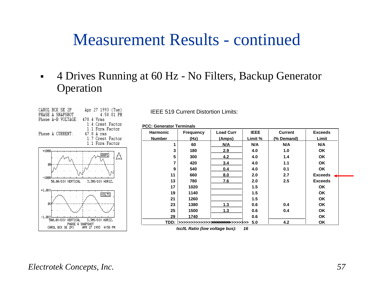#### Measurement Results - continued

#### $\blacksquare$  4 Drives Running at 60 Hz - No Filters, Backup Generator Operation



IEEE 519 Current Distortion Limits:

**PCC: Generator Terminals**

| <b>Harmonic</b> | <b>Frequency</b>                                                             | <b>Load Curr</b> | <b>IEEE</b> | <b>Current</b> | <b>Exceeds</b> |
|-----------------|------------------------------------------------------------------------------|------------------|-------------|----------------|----------------|
| <b>Number</b>   | (Hz)                                                                         | (Amps)           | Limit %     | (% Demand)     | Limit          |
|                 | 60                                                                           | N/A              | N/A         | N/A            | N/A            |
| 3               | 180                                                                          | 2.9              | 4.0         | 1.0            | <b>OK</b>      |
| 5               | 300                                                                          | 4.2              | 4.0         | 1.4            | <b>OK</b>      |
| 7               | 420                                                                          | 3.4              | 4.0         | 1.1            | <b>OK</b>      |
| 9               | 540                                                                          | 0.4              | 4.0         | 0.1            | <b>OK</b>      |
| 11              | 660                                                                          | 8.0              | 2.0         | 2.7            | <b>Exceeds</b> |
| 13              | 780                                                                          | 7.6              | 2.0         | 2.5            | <b>Exceeds</b> |
| 17              | 1020                                                                         |                  | 1.5         |                | <b>OK</b>      |
| 19              | 1140                                                                         |                  | 1.5         |                | <b>OK</b>      |
| 21              | 1260                                                                         |                  | 1.5         |                | <b>OK</b>      |
| 23              | 1380                                                                         | 1.3              | 0.6         | 0.4            | <b>OK</b>      |
| 25              | 1500                                                                         | 1.3              | 0.6         | 0.4            | <b>OK</b>      |
| 29              | 1740                                                                         |                  | 0.6         |                | OK             |
|                 | <b>TDD: &gt;&gt;&gt;&gt;&gt;&gt;&gt;&gt;&gt;&gt;&gt;&gt;&gt;&gt;&gt;&gt;</b> |                  | 5.0         | 4.2            | <b>OK</b>      |